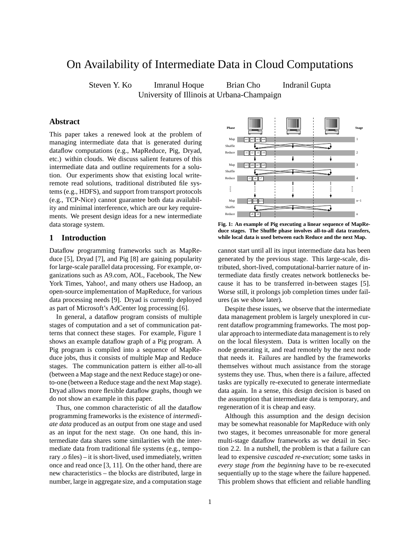# On Availability of Intermediate Data in Cloud Computations

Steven Y. Ko Imranul Hoque Brian Cho Indranil Gupta

University of Illinois at Urbana-Champaign

# **Abstract**

This paper takes a renewed look at the problem of managing intermediate data that is generated during dataflow computations (e.g., MapReduce, Pig, Dryad, etc.) within clouds. We discuss salient features of this intermediate data and outline requirements for a solution. Our experiments show that existing local writeremote read solutions, traditional distributed file systems (e.g., HDFS), and support from transport protocols (e.g., TCP-Nice) cannot guarantee both data availability and minimal interference, which are our key requirements. We present design ideas for a new intermediate data storage system.

# **1 Introduction**

Dataflow programming frameworks such as MapReduce [5], Dryad [7], and Pig [8] are gaining popularity for large-scale parallel data processing. For example, organizations such as A9.com, AOL, Facebook, The New York Times, Yahoo!, and many others use Hadoop, an open-source implementation of MapReduce, for various data processing needs [9]. Dryad is currently deployed as part of Microsoft's AdCenter log processing [6].

In general, a dataflow program consists of multiple stages of computation and a set of communication patterns that connect these stages. For example, Figure 1 shows an example dataflow graph of a Pig program. A Pig program is compiled into a sequence of MapReduce jobs, thus it consists of multiple Map and Reduce stages. The communication pattern is either all-to-all (between a Map stage and the next Reduce stage) or oneto-one (between a Reduce stage and the next Map stage). Dryad allows more flexible dataflow graphs, though we do not show an example in this paper.

Thus, one common characteristic of all the dataflow programming frameworks is the existence of *intermediate data* produced as an output from one stage and used as an input for the next stage. On one hand, this intermediate data shares some similarities with the intermediate data from traditional file systems (e.g., temporary .o files) – it is short-lived, used immediately, written once and read once [3, 11]. On the other hand, there are new characteristics – the blocks are distributed, large in number, large in aggregate size, and a computation stage



**Fig. 1: An example of Pig executing a linear sequence of MapReduce stages. The Shuffle phase involves all-to-all data transfers, while local data is used between each Reduce and the next Map.**

cannot start until all its input intermediate data has been generated by the previous stage. This large-scale, distributed, short-lived, computational-barrier nature of intermediate data firstly creates network bottlenecks because it has to be transferred in-between stages [5]. Worse still, it prolongs job completion times under failures (as we show later).

Despite these issues, we observe that the intermediate data management problem is largely unexplored in current dataflow programming frameworks. The most popular approach to intermediate data management is to rely on the local filesystem. Data is written locally on the node generating it, and read remotely by the next node that needs it. Failures are handled by the frameworks themselves without much assistance from the storage systems they use. Thus, when there is a failure, affected tasks are typically re-executed to generate intermediate data again. In a sense, this design decision is based on the assumption that intermediate data is temporary, and regeneration of it is cheap and easy.

Although this assumption and the design decision may be somewhat reasonable for MapReduce with only two stages, it becomes unreasonable for more general multi-stage dataflow frameworks as we detail in Section 2.2. In a nutshell, the problem is that a failure can lead to expensive *cascaded re-execution*; some tasks in *every stage from the beginning* have to be re-executed sequentially up to the stage where the failure happened. This problem shows that efficient and reliable handling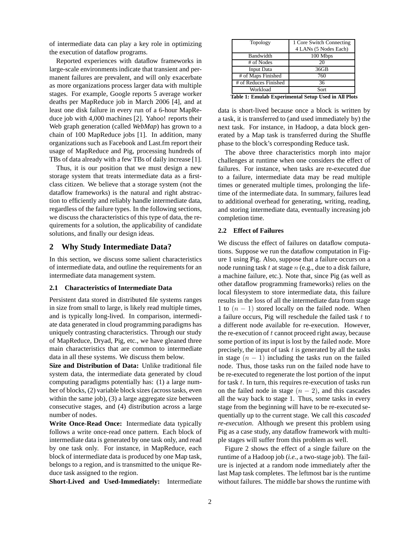of intermediate data can play a key role in optimizing the execution of dataflow programs.

Reported experiences with dataflow frameworks in large-scale environments indicate that transient and permanent failures are prevalent, and will only exacerbate as more organizations process larger data with multiple stages. For example, Google reports 5 average worker deaths per MapReduce job in March 2006 [4], and at least one disk failure in every run of a 6-hour MapReduce job with 4,000 machines [2]. Yahoo! reports their Web graph generation (called *WebMap*) has grown to a chain of 100 MapReduce jobs [1]. In addition, many organizations such as Facebook and Last.fm report their usage of MapReduce and Pig, processing hundreds of TBs of data already with a few TBs of daily increase [1].

Thus, it is our position that we must design a new storage system that treats intermediate data as a firstclass citizen. We believe that a storage system (not the dataflow frameworks) is the natural and right abstraction to efficiently and reliably handle intermediate data, regardless of the failure types. In the following sections, we discuss the characteristics of this type of data, the requirements for a solution, the applicability of candidate solutions, and finally our design ideas.

## **2 Why Study Intermediate Data?**

In this section, we discuss some salient characteristics of intermediate data, and outline the requirements for an intermediate data management system.

#### **2.1 Characteristics of Intermediate Data**

Persistent data stored in distributed file systems ranges in size from small to large, is likely read multiple times, and is typically long-lived. In comparison, intermediate data generated in cloud programming paradigms has uniquely contrasting characteristics. Through our study of MapReduce, Dryad, Pig, etc., we have gleaned three main characteristics that are common to intermediate data in all these systems. We discuss them below.

**Size and Distribution of Data:** Unlike traditional file system data, the intermediate data generated by cloud computing paradigms potentially has: (1) a large number of blocks, (2) variable block sizes (across tasks, even within the same job), (3) a large aggregate size between consecutive stages, and (4) distribution across a large number of nodes.

**Write Once-Read Once:** Intermediate data typically follows a write once-read once pattern. Each block of intermediate data is generated by one task only, and read by one task only. For instance, in MapReduce, each block of intermediate data is produced by one Map task, belongs to a region, and is transmitted to the unique Reduce task assigned to the region.

**Short-Lived and Used-Immediately:** Intermediate

| Topology              | 1 Core Switch Connecting<br>4 LANs (5 Nodes Each) |
|-----------------------|---------------------------------------------------|
| Bandwidth             | 100 Mbps                                          |
| # of Nodes            | 20                                                |
| <b>Input Data</b>     | 36GB                                              |
| # of Maps Finished    | 760                                               |
| # of Reduces Finished | 36                                                |
| Workload              | Sort                                              |

**Table 1: Emulab Experimental Setup Used in All Plots**

data is short-lived because once a block is written by a task, it is transferred to (and used immediately by) the next task. For instance, in Hadoop, a data block generated by a Map task is transferred during the Shuffle phase to the block's corresponding Reduce task.

The above three characteristics morph into major challenges at runtime when one considers the effect of failures. For instance, when tasks are re-executed due to a failure, intermediate data may be read multiple times or generated multiple times, prolonging the lifetime of the intermediate data. In summary, failures lead to additional overhead for generating, writing, reading, and storing intermediate data, eventually increasing job completion time.

#### **2.2 Effect of Failures**

We discuss the effect of failures on dataflow computations. Suppose we run the dataflow computation in Figure 1 using Pig. Also, suppose that a failure occurs on a node running task  $t$  at stage  $n$  (e.g., due to a disk failure, a machine failure, etc.). Note that, since Pig (as well as other dataflow programming frameworks) relies on the local filesystem to store intermediate data, this failure results in the loss of all the intermediate data from stage 1 to  $(n - 1)$  stored locally on the failed node. When a failure occurs, Pig will reschedule the failed task  $t$  to a different node available for re-execution. However, the re-execution of  $t$  cannot proceed right away, because some portion of its input is lost by the failed node. More precisely, the input of task  $t$  is generated by all the tasks in stage  $(n - 1)$  including the tasks run on the failed node. Thus, those tasks run on the failed node have to be re-executed to regenerate the lost portion of the input for task  $t$ . In turn, this requires re-execution of tasks run on the failed node in stage  $(n - 2)$ , and this cascades all the way back to stage 1. Thus, some tasks in every stage from the beginning will have to be re-executed sequentially up to the current stage. We call this *cascaded re-execution*. Although we present this problem using Pig as a case study, any dataflow framework with multiple stages will suffer from this problem as well.

Figure 2 shows the effect of a single failure on the runtime of a Hadoop job (*i.e.*, a two-stage job). The failure is injected at a random node immediately after the last Map task completes. The leftmost bar is the runtime without failures. The middle bar shows the runtime with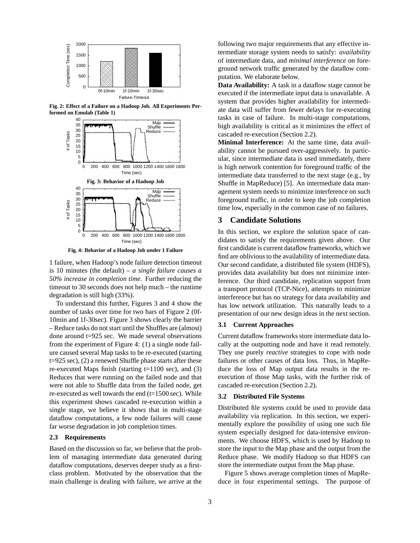

**Fig. 2: Effect of a Failure on a Hadoop Job. All Experiments Performed on Emulab (Table 1)**



**Fig. 4: Behavior of a Hadoop Job under 1 Failure**

1 failure, when Hadoop's node failure detection timeout is 10 minutes (the default) – *a single failure causes a 50% increase in completion time*. Further reducing the timeout to 30 seconds does not help much – the runtime degradation is still high (33%).

To understand this further, Figures 3 and 4 show the number of tasks over time for two bars of Figure 2 (0f-10min and 1f-30sec). Figure 3 shows clearly the barrier – Reduce tasks do not start until the Shuffles are (almost) done around t=925 sec. We made several observations from the experiment of Figure 4: (1) a single node failure caused several Map tasks to be re-executed (starting t=925 sec), (2) a renewed Shuffle phase starts after these re-executed Maps finish (starting  $t=1100$  sec), and (3) Reduces that were running on the failed node and that were not able to Shuffle data from the failed node, get re-executed as well towards the end  $(t=1500 \text{ sec})$ . While this experiment shows cascaded re-execution within a single stage, we believe it shows that in multi-stage dataflow computations, a few node failures will cause far worse degradation in job completion times.

#### **2.3 Requirements**

Based on the discussion so far, we believe that the problem of managing intermediate data generated during dataflow computations, deserves deeper study as a firstclass problem. Motivated by the observation that the main challenge is dealing with failure, we arrive at the

following two major requirements that any effective intermediate storage system needs to satisfy: *availability* of intermediate data, and *minimal interference* on foreground network traffic generated by the dataflow computation. We elaborate below.

**Data Availability:** A task in a dataflow stage cannot be executed if the intermediate input data is unavailable. A system that provides higher availability for intermediate data will suffer from fewer delays for re-executing tasks in case of failure. In multi-stage computations, high availability is critical as it minimizes the effect of cascaded re-execution (Section 2.2).

**Minimal Interference:** At the same time, data availability cannot be pursued over-aggressively. In particular, since intermediate data is used immediately, there is high network contention for foreground traffic of the intermediate data transferred to the next stage (e.g., by Shuffle in MapReduce) [5]. An intermediate data management system needs to minimize interference on such foreground traffic, in order to keep the job completion time low, especially in the common case of no failures.

## **3 Candidate Solutions**

In this section, we explore the solution space of candidates to satisfy the requirements given above. Our first candidate is current dataflow frameworks, which we find are oblivious to the availability of intermediate data. Our second candidate, a distributed file system (HDFS), provides data availability but does not minimize interference. Our third candidate, replication support from a transport protocol (TCP-Nice), attempts to minimize interference but has no strategy for data availability and has low network utilization. This naturally leads to a presentation of our new design ideas in the next section.

#### **3.1 Current Approaches**

Current dataflow frameworks store intermediate data locally at the outputting node and have it read remotely. They use purely *reactive* strategies to cope with node failures or other causes of data loss. Thus, in MapReduce the loss of Map output data results in the reexecution of those Map tasks, with the further risk of cascaded re-execution (Section 2.2).

#### **3.2 Distributed File Systems**

Distributed file systems could be used to provide data availability via replication. In this section, we experimentally explore the possibility of using one such file system especially designed for data-intensive environments. We choose HDFS, which is used by Hadoop to store the input to the Map phase and the output from the Reduce phase. We modify Hadoop so that HDFS can store the intermediate output from the Map phase.

Figure 5 shows average completion times of MapReduce in four experimental settings. The purpose of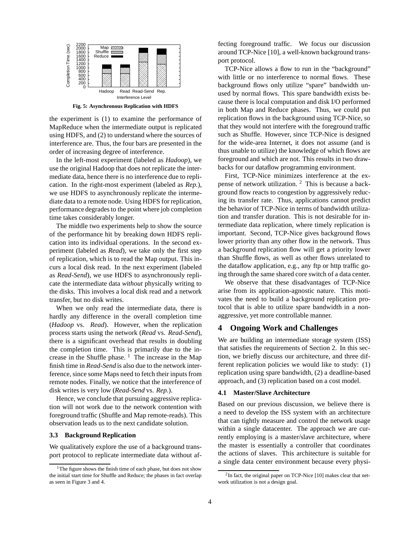

**Fig. 5: Asynchronous Replication with HDFS**

the experiment is (1) to examine the performance of MapReduce when the intermediate output is replicated using HDFS, and (2) to understand where the sources of interference are. Thus, the four bars are presented in the order of increasing degree of interference.

In the left-most experiment (labeled as *Hadoop*), we use the original Hadoop that does not replicate the intermediate data, hence there is no interference due to replication. In the right-most experiment (labeled as *Rep.*), we use HDFS to asynchronously replicate the intermediate data to a remote node. Using HDFS for replication, performance degrades to the point where job completion time takes considerably longer.

The middle two experiments help to show the source of the performance hit by breaking down HDFS replication into its individual operations. In the second experiment (labeled as *Read*), we take only the first step of replication, which is to read the Map output. This incurs a local disk read. In the next experiment (labeled as *Read-Send*), we use HDFS to asynchronously replicate the intermediate data *without* physically writing to the disks. This involves a local disk read and a network transfer, but no disk writes.

When we only read the intermediate data, there is hardly any difference in the overall completion time (*Hadoop* vs. *Read*). However, when the replication process starts using the network (*Read* vs. *Read-Send*), there is a significant overhead that results in doubling the completion time. This is primarily due to the increase in the Shuffle phase.  $\frac{1}{1}$  The increase in the Map finish time in *Read-Send* is also due to the network interference, since some Maps need to fetch their inputs from remote nodes. Finally, we notice that the interference of disk writes is very low (*Read-Send* vs. *Rep.*).

Hence, we conclude that pursuing aggressive replication will not work due to the network contention with foreground traffic (Shuffle and Map remote-reads). This observation leads us to the next candidate solution.

#### **3.3 Background Replication**

We qualitatively explore the use of a background transport protocol to replicate intermediate data without affecting foreground traffic. We focus our discussion around TCP-Nice [10], a well-known background transport protocol.

TCP-Nice allows a flow to run in the "background" with little or no interference to normal flows. These background flows only utilize "spare" bandwidth unused by normal flows. This spare bandwidth exists because there is local computation and disk I/O performed in both Map and Reduce phases. Thus, we could put replication flows in the background using TCP-Nice, so that they would not interfere with the foreground traffic such as Shuffle. However, since TCP-Nice is designed for the wide-area Internet, it does not assume (and is thus unable to utilize) the knowledge of which flows are foreground and which are not. This results in two drawbacks for our dataflow programming environment.

First, TCP-Nice minimizes interference at the expense of network utilization. <sup>2</sup> This is because a background flow reacts to congestion by aggressively reducing its transfer rate. Thus, applications cannot predict the behavior of TCP-Nice in terms of bandwidth utilization and transfer duration. This is not desirable for intermediate data replication, where timely replication is important. Second, TCP-Nice gives background flows lower priority than any other flow in the network. Thus a background replication flow will get a priority lower than Shuffle flows, as well as other flows unrelated to the dataflow application, e.g., any ftp or http traffic going through the same shared core switch of a data center.

We observe that these disadvantages of TCP-Nice arise from its application-agnostic nature. This motivates the need to build a background replication protocol that is able to utilize spare bandwidth in a nonaggressive, yet more controllable manner.

## **4 Ongoing Work and Challenges**

We are building an intermediate storage system (ISS) that satisfies the requirements of Section 2. In this section, we briefly discuss our architecture, and three different replication policies we would like to study: (1) replication using spare bandwidth, (2) a deadline-based approach, and (3) replication based on a cost model.

#### **4.1 Master/Slave Architecture**

Based on our previous discussion, we believe there is a need to develop the ISS system with an architecture that can tightly measure and control the network usage within a single datacenter. The approach we are currently employing is a master/slave architecture, where the master is essentially a controller that coordinates the actions of slaves. This architecture is suitable for a single data center environment because every physi-

<sup>&</sup>lt;sup>1</sup>The figure shows the finish time of each phase, but does not show the initial start time for Shuffle and Reduce; the phases in fact overlap as seen in Figure 3 and 4.

<sup>&</sup>lt;sup>2</sup>In fact, the original paper on TCP-Nice [10] makes clear that network utilization is not a design goal.